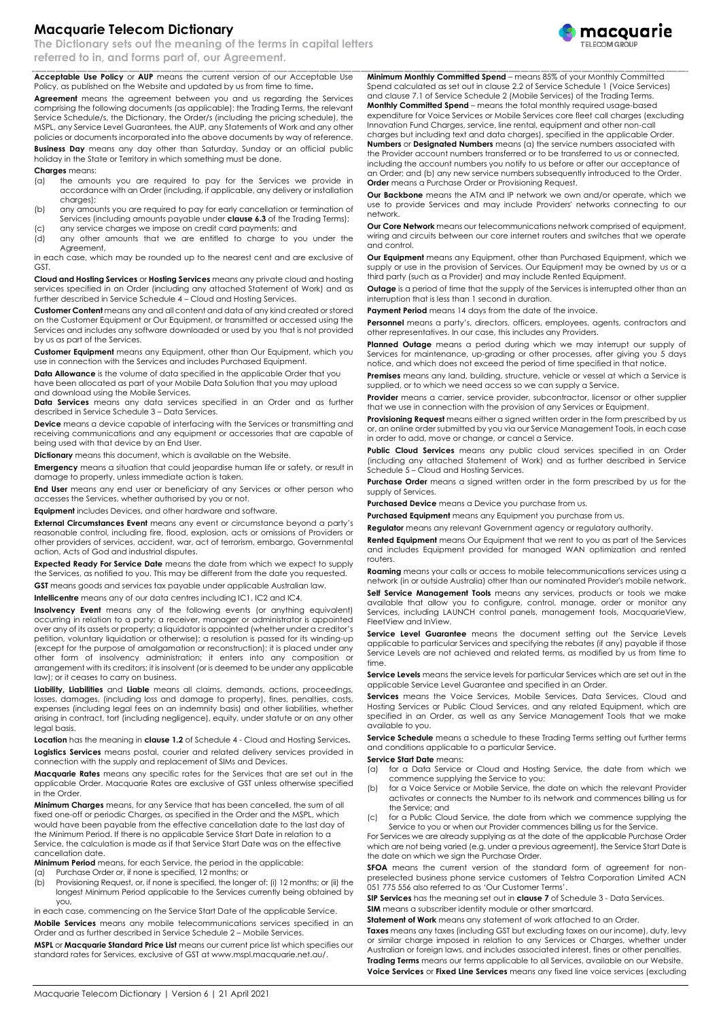## **Macquarie Telecom Dictionary**

**The Dictionary sets out the meaning of the terms in capital letters referred to in, and forms part of, our Agreement.**

**Acceptable Use Policy** or **AUP** means the current version of our Acceptable Use Policy, as published on the Website and updated by us from time to time**.**

**Agreement** means the agreement between you and us regarding the Services comprising the following documents (as applicable): the Trading Terms, the relevant Service Schedule/s, the Dictionary, the Order/s (including the pricing schedule), the MSPL, any Service Level Guarantees, the AUP, any Statements of Work and any other policies or documents incorporated into the above documents by way of reference.

**Business Day** means any day other than Saturday, Sunday or an official public holiday in the State or Territory in which something must be done.

**Charges** means:

- (a) the amounts you are required to pay for the Services we provide in accordance with an Order (including, if applicable, any delivery or installation charges);
- (b) any amounts you are required to pay for early cancellation or termination of Services (including amounts payable under **clause 6.3** of the Trading Terms); (c) any service charges we impose on credit card payments; and
- (d) any other amounts that we are entitled to charge to you under the Agreement,

in each case, which may be rounded up to the nearest cent and are exclusive of GST.

**Cloud and Hosting Services** or **Hosting Services** means any private cloud and hosting services specified in an Order (including any attached Statement of Work) and as further described in Service Schedule 4 – Cloud and Hosting Services.

**Customer Content** means any and all content and data of any kind created or stored on the Customer Equipment or Our Equipment, or transmitted or accessed using the Services and includes any software downloaded or used by you that is not provided by us as part of the Services.

**Customer Equipment** means any Equipment, other than Our Equipment, which you use in connection with the Services and includes Purchased Equipment.

**Data Allowance** is the volume of data specified in the applicable Order that you have been allocated as part of your Mobile Data Solution that you may upload and download using the Mobile Services.

**Data Services** means any data services specified in an Order and as further described in Service Schedule 3 – Data Services.

**Device** means a device capable of interfacing with the Services or transmitting and receiving communications and any equipment or accessories that are capable of being used with that device by an End User.

**Dictionary** means this document, which is available on the Website.

**Emergency** means a situation that could jeopardise human life or safety, or result in damage to property, unless immediate action is taken.

**End User** means any end user or beneficiary of any Services or other person who accesses the Services, whether authorised by you or not.

**Equipment** includes Devices, and other hardware and software.

**External Circumstances Event** means any event or circumstance beyond a party's reasonable control, including fire, flood, explosion, acts or omissions of Providers or other providers of services, accident, war, act of terrorism, embargo, Governmental action, Acts of God and industrial disputes.

**Expected Ready For Service Date** means the date from which we expect to supply the Services, as notified to you. This may be different from the date you requested.

**GST** means goods and services tax payable under applicable Australian law.

**Intellicentre** means any of our data centres including IC1, IC2 and IC4.

**Insolvency Event** means any of the following events (or anything equivalent) occurring in relation to a party: a receiver, manager or administrator is appointed over any of its assets or property; a liquidator is appointed (whether under a creditor's petition, voluntary liquidation or otherwise); a resolution is passed for its winding-up (except for the purpose of amalgamation or reconstruction); it is placed under any other form of insolvency administration; it enters into any composition or arrangement with its creditors; it is insolvent (or is deemed to be under any applicable law); or it ceases to carry on business.

**Liability, Liabilities** and **Liable** means all claims, demands, actions, proceedings, losses, damages, (including loss and damage to property), fines, penalties, costs, expenses (including legal fees on an indemnity basis) and other liabilities, whether arising in contract, tort (including negligence), equity, under statute or on any other legal basis.

**Location** has the meaning in **clause 1.2** of Schedule 4 - Cloud and Hosting Services**. Logistics Services** means postal, courier and related delivery services provided in connection with the supply and replacement of SIMs and Devices.

**Macquarie Rates** means any specific rates for the Services that are set out in the applicable Order. Macquarie Rates are exclusive of GST unless otherwise specified in the Order.

**Minimum Charges** means, for any Service that has been cancelled, the sum of all fixed one-off or periodic Charges, as specified in the Order and the MSPL, which would have been payable from the effective cancellation date to the last day of the Minimum Period. If there is no applicable Service Start Date in relation to a Service, the calculation is made as if that Service Start Date was on the effective cancellation date.

**Minimum Period** means, for each Service, the period in the applicable:

(a) Purchase Order or, if none is specified, 12 months; or

(b) Provisioning Request, or, if none is specified, the longer of: (i) 12 months; or (ii) the longest Minimum Period applicable to the Services currently being obtained by you,

in each case, commencing on the Service Start Date of the applicable Service.

**Mobile Services** means any mobile telecommunications services specified in an Order and as further described in Service Schedule 2 – Mobile Services.

**MSPL** or **Macquarie Standard Price List** means our current price list which specifies our standard rates for Services, exclusive of GST a[t www.mspl.macquarie.net.au/.](http://www.mspl.macquarie.net.au/)

**Minimum Monthly Committed Spend** – means 85% of your Monthly Committed Spend calculated as set out in clause 2.2 of Service Schedule 1 (Voice Services) and clause 7.1 of Service Schedule 2 (Mobile Services) of the Trading Terms. **Monthly Committed Spend** – means the total monthly required usage-based expenditure for Voice Services or Mobile Services core fleet call charges (excluding Innovation Fund Charges, service, line rental, equipment and other non-call charges but including text and data charges), specified in the applicable Order. **Numbers** or **Designated Numbers** means (a) the service numbers associated with the Provider account numbers transferred or to be transferred to us or connected, including the account numbers you notify to us before or after our acceptance of an Order; and (b) any new service numbers subsequently introduced to the Order. **Order** means a Purchase Order or Provisioning Request.

**Our Backbone** means the ATM and IP network we own and/or operate, which we use to provide Services and may include Providers' networks connecting to our network.

**Our Core Network** means our telecommunications network comprised of equipment, wiring and circuits between our core internet routers and switches that we operate and control.

**Our Equipment** means any Equipment, other than Purchased Equipment, which we supply or use in the provision of Services. Our Equipment may be owned by us or a third party (such as a Provider) and may include Rented Equipment.

**Outage** is a period of time that the supply of the Services is interrupted other than an interruption that is less than 1 second in duration.

**Payment Period** means 14 days from the date of the invoice.

**Personnel** means a party's, directors, officers, employees, agents, contractors and other representatives. In our case, this includes any Providers.

**Planned Outage** means a period during which we may interrupt our supply of Services for maintenance, up-grading or other processes, after giving you 5 days notice, and which does not exceed the period of time specified in that notice.

**Premises** means any land, building, structure, vehicle or vessel at which a Service is supplied, or to which we need access so we can supply a Service.

**Provider** means a carrier, service provider, subcontractor, licensor or other supplier that we use in connection with the provision of any Services or Equipment.

**Provisioning Request** means either a signed written order in the form prescribed by us or, an online order submitted by you via our Service Management Tools, in each case in order to add, move or change, or cancel a Service.

**Public Cloud Services** means any public cloud services specified in an Order (including any attached Statement of Work) and as further described in Service Schedule 5 – Cloud and Hosting Services.

**Purchase Order** means a signed written order in the form prescribed by us for the supply of Services.

**Purchased Device** means a Device you purchase from us.

**Purchased Equipment** means any Equipment you purchase from us.

**Regulator** means any relevant Government agency or regulatory authority.

**Rented Equipment** means Our Equipment that we rent to you as part of the Services and includes Equipment provided for managed WAN optimization and rented routers.

**Roaming** means your calls or access to mobile telecommunications services using a network (in or outside Australia) other than our nominated Provider's mobile network.

Self Service Management Tools means any services, products or tools we make available that allow you to configure, control, manage, order or monitor any Services, including LAUNCH control panels, management tools, MacquarieView, FleetView and InView.

**Service Level Guarantee** means the document setting out the Service Levels applicable to particular Services and specifying the rebates (if any) payable if those Service Levels are not achieved and related terms, as modified by us from time to time.

**Service Levels** means the service levels for particular Services which are set out in the applicable Service Level Guarantee and specified in an Order.

**Services** means the Voice Services, Mobile Services, Data Services, Cloud and Hosting Services or Public Cloud Services, and any related Equipment, which are specified in an Order, as well as any Service Management Tools that we make available to you.

**Service Schedule** means a schedule to these Trading Terms setting out further terms and conditions applicable to a particular Service.

**Service Start Date** means:

- (a) for a Data Service or Cloud and Hosting Service, the date from which we commence supplying the Service to you;
- (b) for a Voice Service or Mobile Service, the date on which the relevant Provider activates or connects the Number to its network and commences billing us for the Service; and
- for a Public Cloud Service, the date from which we commence supplying the Service to you or when our Provider commences billing us for the Service.

For Services we are already supplying as at the date of the applicable Purchase Order which are not being varied (e.g. under a previous agreement), the Service Start Date is the date on which we sign the Purchase Order.

**SFOA** means the current version of the standard form of agreement for nonpreselected business phone service customers of Telstra Corporation Limited ACN 051 775 556 also referred to as 'Our Customer Terms'.

**SIP Services** has the meaning set out in **clause 7** of Schedule 3 - Data Services.

**SIM** means a subscriber identity module or other smartcard.

**Statement of Work** means any statement of work attached to an Order.

**Taxes** means any taxes (including GST but excluding taxes on our income), duty, levy or similar charge imposed in relation to any Services or Charges, whether under Australian or foreign laws, and includes associated interest, fines or other penalties. **Trading Terms** means our terms applicable to all Services, available on our Website.

**Voice Services** or **Fixed Line Services** means any fixed line voice services (excluding